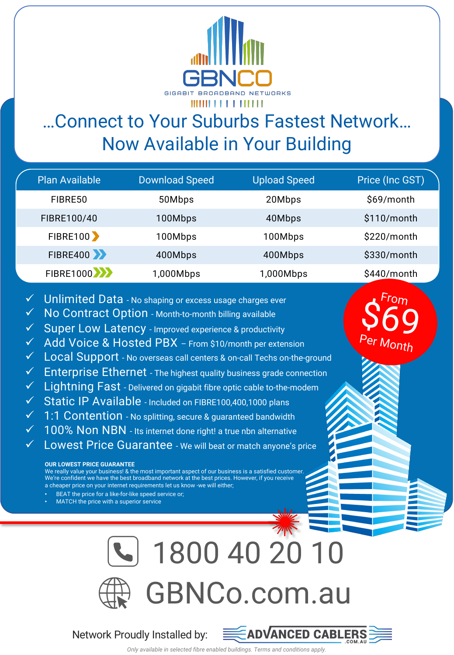

# …Connect to Your Suburbs Fastest Network… Now Available in Your Building

| <b>Plan Available</b>             | <b>Download Speed</b> | <b>Upload Speed</b> | Price (Inc GST) |
|-----------------------------------|-----------------------|---------------------|-----------------|
| FIBRE50                           | 50Mbps                | 20Mbps              | \$69/month      |
| FIBRE100/40                       | 100Mbps               | 40Mbps              | \$110/month     |
| <b>FIBRE100</b>                   | 100Mbps               | 100Mbps             | \$220/month     |
| <b>FIBRE400 &gt;&gt;</b>          | 400Mbps               | 400Mbps             | \$330/month     |
| <b>FIBRE1000 &gt;&gt;&gt;&gt;</b> | 1,000Mbps             | 1,000Mbps           | $$440/m$ onth   |

- $\sqrt{ }$  Unlimited Data No shaping or excess usage charges ever
- No Contract Option Month-to-month billing available
- $\checkmark$  Super Low Latency Improved experience & productivity
- $\checkmark$  Add Voice & Hosted PBX From \$10/month per extension
- Local Support No overseas call centers & on-call Techs on-the-ground
- **Enterprise Ethernet** The highest quality business grade connection
- $\checkmark$  Lightning Fast Delivered on gigabit fibre optic cable to-the-modem
- $\checkmark$  Static IP Available Included on FIBRE100,400,1000 plans
- $\checkmark$  1:1 Contention No splitting, secure & guaranteed bandwidth
- $\checkmark$  100% Non NBN Its internet done right! a true nbn alternative
- Lowest Price Guarantee We will beat or match anyone's price

#### **OUR LOWEST PRICE GUARANTEE**

We really value your business! & the most important aspect of our business is a satisfied customer We're confident we have the best broadband network at the best prices. However, if you receive a cheaper price on your internet requirements let us know -we will either;

- BEAT the price for a like-for-like speed service or;
- MATCH the price with a superior service



### Network Proudly Installed by:



Fro $\eta$ 

 $$69$ 

er Month

*Only available in selected fibre enabled buildings. Terms and conditions apply.*